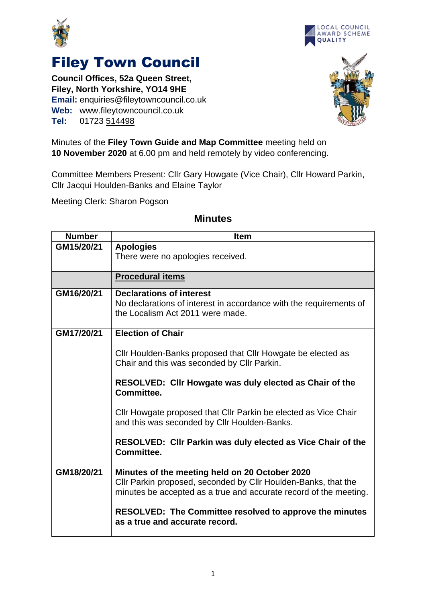





## Filey Town Council

**Council Offices, 52a Queen Street, Filey, North Yorkshire, YO14 9HE Email:** enquiries@fileytowncouncil.co.uk **Web:** www.fileytowncouncil.co.uk **Tel:** 01723 514498

Minutes of the **Filey Town Guide and Map Committee** meeting held on **10 November 2020** at 6.00 pm and held remotely by video conferencing.

Committee Members Present: Cllr Gary Howgate (Vice Chair), Cllr Howard Parkin, Cllr Jacqui Houlden-Banks and Elaine Taylor

Meeting Clerk: Sharon Pogson

| <b>Number</b> | <b>Item</b>                                                                                                     |  |  |  |  |
|---------------|-----------------------------------------------------------------------------------------------------------------|--|--|--|--|
| GM15/20/21    | <b>Apologies</b>                                                                                                |  |  |  |  |
|               | There were no apologies received.                                                                               |  |  |  |  |
|               |                                                                                                                 |  |  |  |  |
|               | <b>Procedural items</b>                                                                                         |  |  |  |  |
| GM16/20/21    | <b>Declarations of interest</b>                                                                                 |  |  |  |  |
|               | No declarations of interest in accordance with the requirements of                                              |  |  |  |  |
|               | the Localism Act 2011 were made.                                                                                |  |  |  |  |
| GM17/20/21    | <b>Election of Chair</b>                                                                                        |  |  |  |  |
|               |                                                                                                                 |  |  |  |  |
|               | Cllr Houlden-Banks proposed that Cllr Howgate be elected as                                                     |  |  |  |  |
|               | Chair and this was seconded by Cllr Parkin.                                                                     |  |  |  |  |
|               | RESOLVED: Cllr Howgate was duly elected as Chair of the                                                         |  |  |  |  |
|               | Committee.                                                                                                      |  |  |  |  |
|               | Cllr Howgate proposed that Cllr Parkin be elected as Vice Chair<br>and this was seconded by Cllr Houlden-Banks. |  |  |  |  |
|               | <b>RESOLVED: Cllr Parkin was duly elected as Vice Chair of the</b><br>Committee.                                |  |  |  |  |
| GM18/20/21    | Minutes of the meeting held on 20 October 2020                                                                  |  |  |  |  |
|               | Cllr Parkin proposed, seconded by Cllr Houlden-Banks, that the                                                  |  |  |  |  |
|               | minutes be accepted as a true and accurate record of the meeting.                                               |  |  |  |  |
|               | <b>RESOLVED: The Committee resolved to approve the minutes</b>                                                  |  |  |  |  |
|               | as a true and accurate record.                                                                                  |  |  |  |  |

## **Minutes**